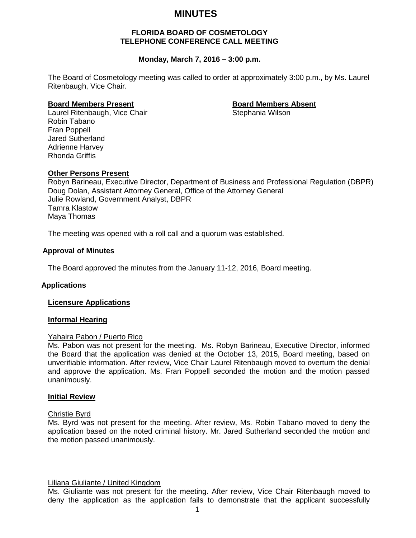# **MINUTES**

### **FLORIDA BOARD OF COSMETOLOGY TELEPHONE CONFERENCE CALL MEETING**

## **Monday, March 7, 2016 – 3:00 p.m.**

The Board of Cosmetology meeting was called to order at approximately 3:00 p.m., by Ms. Laurel Ritenbaugh, Vice Chair.

**Board Members Present Board Members Absent** Laurel Ritenbaugh, Vice Chair Robin Tabano Fran Poppell Jared Sutherland Adrienne Harvey Rhonda Griffis

# **Other Persons Present**

Robyn Barineau, Executive Director, Department of Business and Professional Regulation (DBPR) Doug Dolan, Assistant Attorney General, Office of the Attorney General Julie Rowland, Government Analyst, DBPR Tamra Klastow Maya Thomas

The meeting was opened with a roll call and a quorum was established.

#### **Approval of Minutes**

The Board approved the minutes from the January 11-12, 2016, Board meeting.

#### **Applications**

#### **Licensure Applications**

#### **Informal Hearing**

#### Yahaira Pabon / Puerto Rico

Ms. Pabon was not present for the meeting. Ms. Robyn Barineau, Executive Director, informed the Board that the application was denied at the October 13, 2015, Board meeting, based on unverifiable information. After review, Vice Chair Laurel Ritenbaugh moved to overturn the denial and approve the application. Ms. Fran Poppell seconded the motion and the motion passed unanimously.

#### **Initial Review**

#### Christie Byrd

Ms. Byrd was not present for the meeting. After review, Ms. Robin Tabano moved to deny the application based on the noted criminal history. Mr. Jared Sutherland seconded the motion and the motion passed unanimously.

#### Liliana Giuliante / United Kingdom

Ms. Giuliante was not present for the meeting. After review, Vice Chair Ritenbaugh moved to deny the application as the application fails to demonstrate that the applicant successfully